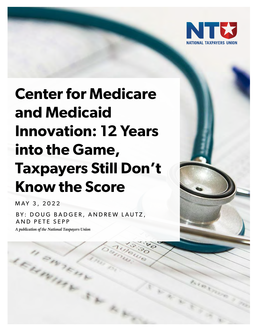

# **Center for Medicare and Medicaid Innovation: 12 Years into the Game, Taxpayers Still Don't Know the Score**

MAY 3, 2022

BY: DOUG BADGER, ANDREW LAUTZ, AND PETE SEPP

*A publication of the National Taxpayers Union*

I enne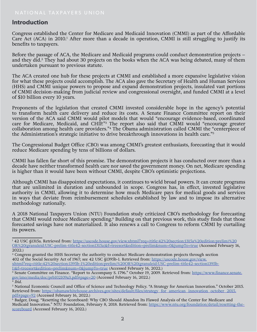#### **Introduction**

Congress established the Center for Medicare and Medicaid Innovation (CMMI) as part of the Affordable Care Act (ACA) in 2010.<sup>1</sup> After more than a decade in operation, CMMI is still struggling to justify its benefits to taxpayers.

Before the passage of ACA, the Medicare and Medicaid programs could conduct demonstration projects – and they did.<sup>2</sup> They had about 30 projects on the books when the ACA was being debated, many of them undertaken pursuant to previous statute.

The ACA created one hub for these projects at CMMI and established a more expansive legislative vision for what these projects could accomplish. The ACA also gave the Secretary of Health and Human Services (HHS) and CMMI unique powers to propose and expand demonstration projects, insulated vast portions of CMMI decision-making from judicial review and congressional oversight, and funded CMMI at a level of \$10 billion every 10 years.

Proponents of the legislation that created CMMI invested considerable hope in the agency's potential to transform health care delivery and reduce its costs. A Senate Finance Committee report on their version of the ACA said CMMI would pilot models that would "encourage evidence-based, coordinated care for Medicare, Medicaid, and CHIP."3 The report also said that CMMI would "encourage greater collaboration among health care providers."<sup>4</sup> The Obama administration called CMMI the "centerpiece of the Administration's strategic initiative to drive breakthrough innovations in health care."<sup>5</sup>

The Congressional Budget Office (CBO) was among CMMI's greatest enthusiasts, forecasting that it would reduce Medicare spending by tens of billions of dollars.

CMMI has fallen far short of this promise. The demonstration projects it has conducted over more than a decade have neither transformed health care nor saved the government money. On net, Medicare spending is higher than it would have been without CMMI, despite CBO's optimistic projections.

Although CMMI has disappointed expectations, it continues to wield broad powers. It can create programs that are unlimited in duration and unbounded in scope. Congress has, in effect, invested legislative authority in CMMI, allowing it to determine how much Medicare pays for medical goods and services in ways that deviate from reimbursement schedules established by law and to impose its alternative methodology nationally.

A 2018 National Taxpayers Union (NTU) Foundation study criticized CBO's methodology for forecasting that CMMI would reduce Medicare spending.<sup>6</sup> Building on that previous work, this study finds that those forecasted savings have not materialized. It also renews a call to Congress to reform CMMI by curtailing its powers.

- <sup>2</sup> Congress granted the HHS Secretary the authority to conduct Medicare demonstration projects through section 402 of the Social Security Act of 1967; see 42 USC §1395b-1. Retrieved from: https://uscode.house.gov/view. xhtml?req=(title:42%20section:1395b-1%20edition:prelim)%20OR%20(granuleid:USC-prelim-title42-section1395b-1)&f=treesort&edition=prelim&num=0&jumpTo=true (Accessed February 16, 2022.)
- <sup>3</sup> Senate Committee on Finance. "Report to Accompany S. 1796." October 19, 2009. Retrieved from: [https://www.finance.senate.](https://www.finance.senate.gov/imo/media/doc/prb102109a3.pdf) [gov/imo/media/doc/prb102109a3.pdf#page=20](https://www.finance.senate.gov/imo/media/doc/prb102109a3.pdf) (Accessed February 16, 2022.)
- <sup>4</sup> *Ibid*.

<sup>&</sup>lt;sup>1</sup> 42 USC §1315a. Retrieved from: https://uscode.house.gov/view.xhtml?req=(title:42%20section:1315a%20edition:prelim)%20 OR%20(granuleid:USC-prelim-title42-section1315a)&f=treesort&edition=prelim&num=0&jumpTo=true (Accessed February 16, 2022.)

<sup>5</sup> National Economic Council and Office of Science and Technology Policy. "A Strategy for American Innovation." October 2015. Retrieved from: [https://obamawhitehouse.archives.gov/sites/default/files/strategy\\_for\\_american\\_innovation\\_october\\_2015.](https://obamawhitehouse.archives.gov/sites/default/files/strategy_for_american_innovation_october_2015.pdf) [pdf#page=92](https://obamawhitehouse.archives.gov/sites/default/files/strategy_for_american_innovation_october_2015.pdf) (Accessed February 16, 2022.)

<sup>6</sup> Badger, Doug. "Resetting the Scoreboard: Why CBO Should Abandon Its Flawed Analysis of the Center for Medicare and Medicaid Innovation." NTU Foundation, February 8, 2018. Retrieved from: [https://www.ntu.org/foundation/detail/resetting-the](https://www.ntu.org/foundation/detail/resetting-the-scoreboard)[scoreboard](https://www.ntu.org/foundation/detail/resetting-the-scoreboard) (Accessed February 16, 2022.)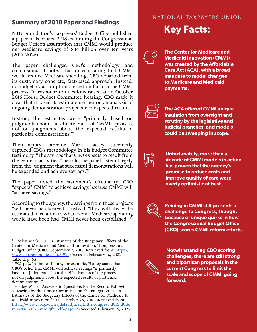## **Summary of 2018 Paper and Findings<br>NTIL Foundation's Taxpayers' Budget Office published Key Facts:**

NTU Foundation's Taxpayers' Budget Office published a paper in February 2018 examining the Congressional Budget Office's assumption that CMMI would produce net Medicare savings of \$34 billion over ten years (2017-2026).

The paper challenged CBO's methodology and conclusions. It noted that in estimating that CMMI would reduce Medicare spending, CBO departed from its customary concrete, fact-based approach. Instead, its budgetary assumptions rested on faith in the CMMI process. In response to questions raised at an October 2016 House Budget Committee hearing, CBO made it clear that it based its estimate neither on an analysis of ongoing demonstration projects nor expected results.

Instead, the estimates were "primarily based on judgments about the effectiveness of CMMI's process, not on judgments about the expected results of particular demonstrations."7

Then-Deputy Director Mark Hadley succinctly captured CBO's methodology in his Budget Committee testimony. "The savings that CBO expects to result from the center's activities," he told the panel, "stem largely from the judgment that successful demonstrations will be expanded and achieve savings."<sup>8</sup>

The paper noted the statement's circularity: CBO "expects" CMMI to achieve savings because CMMI will "achieve savings."

According to the agency, the savings from these projects "will never be observed." Instead, "they will always be estimated in relation to what overall Medicare spending would have been had CMMI never been established."<sup>9</sup>

#### NATIONAL TAXPAYERS UNION NATIONAL TAXPAYERS UNION



**The Center for Medicare and Medicaid Innovation (CMMI) was created by the Affordable Care Act (ACA), with a broad mandate to model changes to Medicare and Medicaid payments.**



**The ACA offered CMMI unique insulation from oversight and scrutiny by the legislative and judicial branches, and models could be sweeping in scope.**



**Unfortunately, more than a decade of CMMI models in action has proven that the agency's promise to reduce costs and improve quality of care were overly optimistic at best.**

**Reining in CMMI still presents a challenge to Congress, though, because of unique quirks in how the Congressional Budget Office (CBO) scores CMMI reform efforts.**



**Notwithstanding CBO scoring challenges, there are still strong and bipartisan proposals in the current Congress to limit the scale and scope of CMMI going forward.**

<sup>7</sup> Hadley, Mark. "CBO's Estimates of the Budgetary Effects of the Center for Medicare and Medicaid Innovation," Congressional Budget Office (CBO), September 7, 2016. Retrieved from: [https://](https://www.cbo.gov/publication/51921) [www.cbo.gov/publication/51921](https://www.cbo.gov/publication/51921) (Accessed February 16, 2022; Table 2, p. 6.)

<sup>8</sup> *Ibid*, p. 2. In the testimony, for example, Hadley states that CBO's belief that CMMI will achieve savings "is primarily based on judgments about the effectiveness of the process, not on judgments about the expected results of particular demonstrations."

<sup>9</sup> Hadley, Mark. "Answers to Questions for the Record Following a Hearing by the House Committee on the Budget on CBO's Estimates of the Budgetary Effects of the Center for Medicare & Medicaid Innovation." CBO, October 28, 2016. Retrieved from: [https://www.cbo.gov/sites/default/files/114th-congress-2015-2016/](https://www.cbo.gov/sites/default/files/114th-congress-2015-2016/reports/52137-cmmiqfrs.pdf) [reports/52137-cmmiqfrs.pdf#page=2](https://www.cbo.gov/sites/default/files/114th-congress-2015-2016/reports/52137-cmmiqfrs.pdf) (Accessed February 16, 2022.)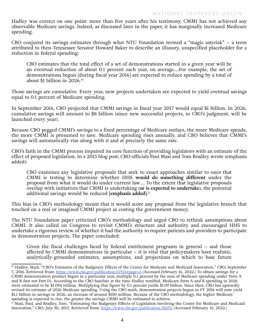Hadley was correct on one point: more than five years after his testimony, CMMI has not achieved any observable Medicare savings. Indeed, as discussed later in the paper, it has marginally increased Medicare spending.

CBO conjured its savings estimates through what NTU Foundation termed a "magic asterisk" – a term attributed to then-Tennessee Senator Howard Baker to describe an illusory, unspecified placeholder for a reduction in federal spending:

CBO estimates that the total effect of a set of demonstrations started in a given year will be an eventual reduction of about 0.1 percent each year, on average….For example, the set of demonstrations begun [during fiscal year 2016] are expected to reduce spending by a total of about \$1 billion in 2026.<sup>10</sup>

Those savings are cumulative. Every year, new projects undertaken are expected to yield eventual savings equal to 0.1 percent of Medicare spending.

In September 2016, CBO projected that CMMI savings in fiscal year 2017 would equal \$1 billion. In 2026, cumulative savings will amount to \$8 billion (since new successful projects, in CBO's judgment, will be launched every year).

Because CBO pegged CMMI's savings to a fixed percentage of Medicare outlays, the more Medicare spends, the more CMMI is presumed to save. Medicare spending rises annually, and CBO believes that CMMI's savings will automatically rise along with it and at precisely the same rate.

CBO's faith in the CMMI process impaired its core function of providing legislators with an estimate of the effect of proposed legislation. In a 2015 blog post, CBO officials Paul Masi and Tom Bradley wrote (emphasis added):

CBO examines any legislative proposals that seek to enact approaches similar to ones that CMMI is testing to determine whether HHS **would do something different** under the proposal from what it would do under current law…. To the extent that legislative proposals overlap with initiatives that CMMI is undertaking (**or is expected to undertake**), the potential additional savings would be reduced **[emphasis added]**. 11

This bias in CBO's methodology meant that it would score any proposal from the legislative branch that touched on a real or imagined CMMI project as costing the government money.

The NTU Foundation paper criticized CBO's methodology and urged CBO to rethink assumptions about CMMI. It also called on Congress to revisit CMMI's structure and authority and encouraged HHS to undertake a rigorous review of whether it had the authority to require patients and providers to participate in demonstration projects. The paper concluded:

Given the fiscal challenges faced by federal entitlement programs in general – and those affected by CMMI demonstrations in particular  $-$  it is vital that policymakers have realistic, analytically-grounded estimates, assumptions, and projections on which to base future

<sup>&</sup>lt;sup>10</sup> Hadley, Mark. "CBO's Estimates of the Budgetary Effects of the Center for Medicare and Medicaid Innovation," CBO, September 7, 2016. Retrieved from: [https://www.cbo.gov/publication/51921#page=6](https://www.cbo.gov/publication/51921) (Accessed February 16, 2022.) To obtain savings for a CMMI demonstration product begun in a particular year, multiply 0.1 percent by the sum of Medicare spending under Parts A and B (but not Part D). According to the CBO baseline at the time Hadley testified, Medicare Parts A and B spending in 2026 were estimated to be \$1.094 trillion. Multiplying that figure by 0.1 percent yields \$1.09 billion. Since then, CBO has upwardly revised its estimate of 2026 Medicare spending. Using the CBO math, demonstration projects begun in FY 2016 will now yield \$1.1 billion in savings in 2026, an increase of around \$100 million. Because of the CBO methodology, the higher Medicare spending is expected to rise, the greater the savings CMMI will be estimated to achieve.

<sup>&</sup>lt;sup>11</sup> Masi, Paul, and Bradley, Tom. "Estimating the Budgetary Effects of Legislation Involving the Center for Medicare and Medicaid Innovation," CBO, July 30, 2015. Retrieved from:<https://www.cbo.gov/publication/50692>(Accessed February 16, 2022.)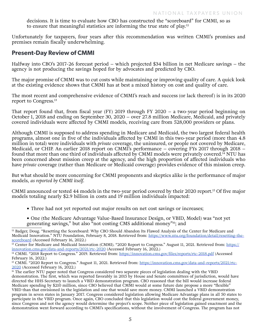decisions. It is time to evaluate how CBO has constructed the "scoreboard" for CMMI, so as to ensure that meaningful statistics are informing the true state of play.<sup>12</sup>

Unfortunately for taxpayers, four years after this recommendation was written CMMI's promises and premises remain fiscally underwhelming.

#### **Present-Day Review of CMMI**

Halfway into CBO's 2017-26 forecast period – which projected \$34 billion in net Medicare savings – the agency is not producing the savings hoped for by advocates and predicted by CBO.

The major promise of CMMI was to cut costs while maintaining or improving quality of care. A quick look at the existing evidence shows that CMMI has at best a mixed history on cost and quality of care.

The most recent and comprehensive evidence of CMMI's reach and success (or lack thereof) is in its 2020 report to Congress.<sup>13</sup>

That report found that, from fiscal year (FY) 2019 through FY 2020 – a two-year period beginning on October 1, 2018 and ending on September 30, 2020 – over 27.8 million Medicare, Medicaid, and privately covered individuals were affected by CMMI models, receiving care from 528,000 providers or plans.

Although CMMI is supposed to address spending in Medicare and Medicaid, the two largest federal health programs, almost one in five of the individuals affected by CMMI in this two-year period (more than 4.8 million in total) were individuals with *private* coverage, the uninsured, or people not covered by Medicare, Medicaid, or CHIP. An earlier 2018 report on CMMI's performance – covering FYs 2017 through 2018 – found that more than one third of individuals affected by CMMI models were privately covered.<sup>14</sup> NTU has been concerned about mission creep at the agency, and the high proportion of affected individuals who have *private* coverage (rather than Medicare or Medicaid coverage) provides evidence of this mission creep.

But what should be more concerning for CMMI proponents and skeptics alike is the performance of major models, *as reported by CMMI itself*.

CMMI announced or tested 44 models in the two-year period covered by their 2020 report.<sup>15</sup> Of five major models totaling nearly \$2.9 billion in costs and 19 million individuals impacted:

- Three had not yet reported out major results on net cost savings or increases;
- One (the Medicare Advantage Value-Based Insurance Design, or VBID, Model) was "not yet generating savings," but also "not costing CMS additional money"<sup>16</sup>; and

<sup>&</sup>lt;sup>12</sup> Badger, Doug. "Resetting the Scoreboard: Why CBO Should Abandon Its Flawed Analysis of the Center for Medicare and Medicaid Innovation." NTU Foundation, February 8, 2018. Retrieved from: [https://www.ntu.org/foundation/detail/resetting-the](https://www.ntu.org/foundation/detail/resetting-the-scoreboard)[scoreboard](https://www.ntu.org/foundation/detail/resetting-the-scoreboard) (Accessed February 16, 2022.)

 $\frac{13}{13}$  Center for Medicare and Medicaid Innovation (CMMI). "2020 Report to Congress." August 11, 2021. Retrieved from: [https://](https://innovation.cms.gov/data-and-reports/2021/rtc-2020) [innovation.cms.gov/data-and-reports/2021/rtc-2020](https://innovation.cms.gov/data-and-reports/2021/rtc-2020) (Accessed February 16, 2022.)

<sup>&</sup>lt;sup>14</sup> CMMI. "2018 Report to Congress." 2019. Retrieved from:<https://innovation.cms.gov/files/reports/rtc-2018.pdf> (Accessed February 16, 2022.)

<sup>&</sup>lt;sup>15</sup> CMMI. "2020 Report to Congress." August 11, 2021. Retrieved from: [https://innovation.cms.gov/data-and-reports/2021/rtc-](https://innovation.cms.gov/data-and-reports/2021/rtc-2020)[2020](https://innovation.cms.gov/data-and-reports/2021/rtc-2020) (Accessed February 16, 2022.)

<sup>&</sup>lt;sup>16</sup> The earlier NTU paper noted that Congress considered two separate pieces of legislation dealing with the VBID demonstration. The first, which was reported favorably in 2015 by House and Senate committees of jurisdiction, would have directed the HHS Secretary to launch a VBID demonstration program. CBO reasoned that the bill would increase federal Medicare spending by \$210 million, since CBO believed that CMMI would at some future date propose a more "flexible" VBID than that envisioned in the legislation and one that would save more money. CMMI launched a VBID demonstration program in seven states in January 2017. Congress considered legislation allowing Medicare Advantage plans in all 50 states to participate in the VBID program. Once again, CBO concluded that this legislation would cost the federal government money, since Congress and not the agency would determine the project's scope. Neither piece of legislation gained enactment and the demonstration went forward according to CMMI's specifications, without the involvement of Congress. The program has not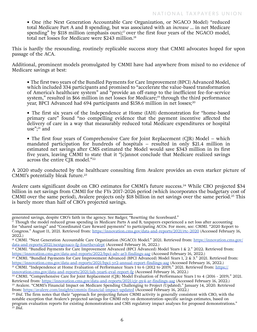**•** One (the Next Generation Accountable Care Organization, or NGACO Model) "reduced total Medicare Part A and B spending, but was associated with an *increase* … in net Medicare spending" by \$118 million (emphasis ours);<sup>17</sup> over the first four years of the NGACO model, total net losses for Medicare were \$243 million.<sup>18</sup>

This is hardly the resounding, routinely replicable success story that CMMI advocates hoped for upon passage of the ACA.

Additional, prominent models promulgated by CMMI have had anywhere from mixed to no evidence of Medicare savings at best:

**•** The first two years of the Bundled Payments for Care Improvement (BPCI) Advanced Model, which included 334 participants and [promised](https://www.cms.gov/newsroom/press-releases/cms-announces-participants-new-value-based-bundled-payment-model) to "accelerate the value-based transformation of America's healthcare system" and "provide an off-ramp to the inefficient fee-for-service system," resulted in [\\$66 million in net losses for Medicare;](https://innovation.cms.gov/data-and-reports/2022/bpci-adv-ar3-findings-aag)<sup>19</sup> through the third performance year, BPCI Advanced had 694 participants and [\\$158.6 million in net losses;](https://innovation.cms.gov/data-and-reports/2021/bpci-yr2-annual-report-findings-aag)<sup>20</sup>

**•** The first six years of the Independence at Home (IAH) demonstration for "home-based primary care" [found](https://innovation.cms.gov/data-and-reports/2021/iah-year6-eval-report-fg) "no compelling evidence that the payment incentive affected the delivery of care in a way that measurably reduced total Medicare expenditures or hospital use";21 and

• The first four years of Comprehensive Care for Joint Replacement (CJR) Model – which mandated participation for hundreds of hospitals – resulted in only [\\$21.4 million in](https://innovation.cms.gov/data-and-reports/2021/cjr-py4-ar-findings-aag)  [estimated net savings](https://innovation.cms.gov/data-and-reports/2021/cjr-py4-ar-findings-aag) after CMS [estimated](https://www.federalregister.gov/documents/2015/11/24/2015-29438/medicare-program-comprehensive-care-for-joint-replacement-payment-model-for-acute-care-hospitals) the Model would save \$343 million in its first five years, leaving CMMI to state that it "[c]annot conclude that Medicare realized savings across the entire CJR model."<sup>22</sup>

A 2020 study conducted by the healthcare consulting firm Avalere provides an even starker picture of CMMI's potentially bleak future.<sup>23</sup>

Avalere casts significant doubt on CBO estimates for CMMI's future success.<sup>24</sup> While CBO projected \$34 billion in net savings from CMMI for the FYs 2017-2026 period (which incorporates the budgetary cost of CMMI over the same period), Avalere projects only \$18 billion in net savings over the same period.25 This is barely more than half of CBO's projected savings.

generated savings, despite CBO's faith in the agency. See Badger, "Resetting the Scoreboard."

 $^{17}$  Though the model reduced gross spending in Medicare Parts A and B, taxpayers experienced a net loss after accounting for "shared savings" and "Coordinated Care Reward payments" to participating ACOs. For more, see: CMMI. "2020 Report to Congress." August 11, 2021. Retrieved from: <https://innovation.cms.gov/data-and-reports/2021/rtc-2020> (Accessed February 16, 2022.)<br><sup>18</sup> CMMI. "Next Generation Accountable Care Organization (NGACO) Model." 2021. Retrieved from: <u>https://innovation.cms.gov/</u>

[data-and-reports/2021/nextgenaco-fg-fourthevalrpt](https://innovation.cms.gov/data-and-reports/2021/nextgenaco-fg-fourthevalrpt) (Accessed February 16, 2022.)

<sup>19</sup> CMMI. "Bundled Payments for Care Improvement Advanced (BPCI Advanced) Model Years 1 & 2." 2022. Retrieved from: <https://innovation.cms.gov/data-and-reports/2022/bpci-adv-ar3-findings-aag> (Accessed February 16, 2022.)

<sup>&</sup>lt;sup>20</sup> CMMI. "Bundled Payments for Care Improvement Advanced (BPCI Advanced) Model Years 1, 2 & 3." 2021. Retrieved from: <https://innovation.cms.gov/data-and-reports/2021/bpci-yr2-annual-report-findings-aag>(Accessed February 16, 2022.)

<sup>&</sup>lt;sup>21</sup> CMMI. "Independence at Home Evaluation of Performance Years 1 to 6 (2012 to 2019)." 2021. Retrieved from: [https://](https://innovation.cms.gov/data-and-reports/2021/iah-year6-eval-report-fg) [innovation.cms.gov/data-and-reports/2021/iah-year6-eval-report-fg](https://innovation.cms.gov/data-and-reports/2021/iah-year6-eval-report-fg) (Accessed February 16, 2022.)

<sup>&</sup>lt;sup>22</sup> CMMI. "Comprehensive Care for Joint Replacement (CJR) Model Evaluation of Performance Years 1 to 4 (2016 - 2019)." 2021. Retrieved from:<https://innovation.cms.gov/data-and-reports/2021/cjr-py4-ar-findings-aag> (Accessed February 16, 2022.) <sup>23</sup> Avalere. "CMMI's Financial Impact on Medicare Spending Challenging to Project (Updated)." January 14, 2020. Retrieved from:<https://avalere.com/insights/cmmis-financial-impact-updated>(Accessed February 16, 2022.)

<sup>24</sup> *Ibid*. The firm notes that their "approach for projecting future CMMI activity is generally consistent with CBO, with the notable exception that Avalere's projected savings for CMMI rely on demonstration-specific savings estimates, based on program evaluation reports for existing demonstrations and CMS regulatory impact analyses for proposed demonstrations." <sup>25</sup> *Ibid*.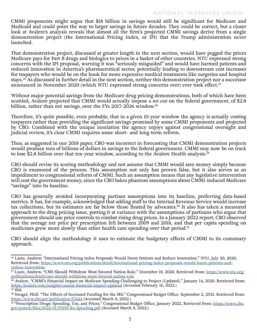CMMI proponents might argue that \$18 billion in savings would still be significant for Medicare and Medicaid and could point the way to larger savings in future decades. They could be correct, but a closer look at Avalere's analysis reveals that almost all the firm's projected CMMI savings derive from a single demonstration project (the International Pricing Index, or IPI) that the Trump administration never launched.

That demonstration project, discussed at greater length in the next section, would have pegged the prices Medicare pays for Part B drugs and biologics to prices in a basket of other countries. NTU expressed strong concerns with the IPI proposal, warning it was "seriously misguided" and would have harmed patients and reduced innovation in America's pharmaceutical sector, potentially leading to downstream cost increases for taxpayers who would be on the hook for more expensive medical treatments like surgeries and hospital stays.<sup>26</sup> As discussed in further detail in the next section, neither this demonstration project nor a successor announced in November 2020 (which NTU expressed strong concerns over) ever took effect.<sup>27</sup>

Without major potential savings from the Medicare drug pricing demonstrations, both of which have been scuttled, Avalere projected that CMMI would actually impose a *net cost* on the federal government, of \$2.8 billion, rather than net savings, over the FYs 2017-2026 window.<sup>28</sup>

Therefore, it's quite possible, even probable, that in a given 10-year window the agency is actually costing taxpayers rather than providing the significant savings promised by some CMMI proponents and projected by CBO. Combined with the unique insulation the agency enjoys against congressional oversight and judicial review, it's clear CMMI requires some short- and long-term reform.

Thus, as suggested in our 2018 paper, CBO was incorrect in forecasting that CMMI demonstration projects would produce tens of billions of dollars in savings to the federal government. CMMI may now be on track to lose \$2.8 billion over that ten-year window, according to the Avalere Health analysis.<sup>29</sup>

CBO should revise its scoring methodology and not assume that CMMI would save money simply because CBO is enamored of the process. This assumption not only has proven false, but it also serves as an impediment to congressional reform of CMMI. Such an assumption means that any legislative intervention will cost the government money, since the CBO bakes phantom assumptions about CMMI-induced Medicare "savings" into its baseline.

CBO has generally avoided incorporating partisan assumptions into its baseline, preferring data-based metrics. It has, for example, acknowledged that adding staff to the Internal Revenue Service would increase tax collections, but its estimates are far below those floated by advocates.30 It also has taken a measured approach to the drug pricing issue, putting it at variance with the assumptions of partisans who argue that government should use price controls to combat rising drug prices. In a January 2022 report, CBO observed that the average net price per prescription fell between 2009 and 2018, and that per capita spending on medicines grew more slowly than other health care spending over that period.<sup>31</sup>

CBO should align the methodology it uses to estimate the budgetary effects of CMMI to its customary approach.

<sup>26</sup> Lautz, Andrew. "International Pricing Index Proposals Would Harm Patients and Reduce Innovation." NTU, July 20, 2020. Retrieved from: [https://www.ntu.org/publications/detail/international-pricing-index-proposals-would-harm-patients-and](https://www.ntu.org/publications/detail/international-pricing-index-proposals-would-harm-patients-and-reduce-innovation)[reduce-innovation](https://www.ntu.org/publications/detail/international-pricing-index-proposals-would-harm-patients-and-reduce-innovation).

<sup>&</sup>lt;sup>27</sup> Lautz, Andrew. "CMS Should Withdraw Most Favored Nation Rule." December 18, 2020. Retrieved from: [https://www.ntu.org/](https://www.ntu.org/publications/detail/cms-should-withdraw-most-favored-nation-rule) [publications/detail/cms-should-withdraw-most-favored-nation-rule](https://www.ntu.org/publications/detail/cms-should-withdraw-most-favored-nation-rule)

<sup>28</sup> Avalere. "CMMI's Financial Impact on Medicare Spending Challenging to Project (Updated)." January 14, 2020. Retrieved from: <https://avalere.com/insights/cmmis-financial-impact-updated>(Accessed February 16, 2022.) <sup>29</sup> *Ibid*.

<sup>30</sup> Swagel, Phill. "The Effects of Increased Funding for the IRS." Congressional Budget Office. September 2, 2021. Retrieved from: <https://www.cbo.gov/publication/57444> (Accessed March 8, 2022.)

<sup>31 &</sup>quot;Prescription Drugs: Spending, Use, and Prices." Congressional Budget Office. January 2022. Retrieved from: [https://www.cbo.](https://www.cbo.gov/system/files/2022-01/57050-Rx-Spending.pdf) [gov/system/files/2022-01/57050-Rx-Spending.pdf](https://www.cbo.gov/system/files/2022-01/57050-Rx-Spending.pdf) (Accessed March 8, 2022.)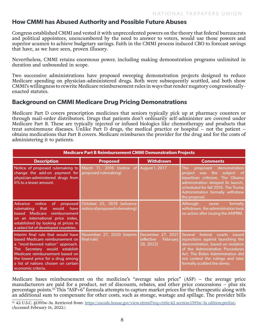#### **How CMMI has Abused Authority and Possible Future Abuses**

Congress established CMMI and vested it with unprecedented powers on the theory that federal bureaucrats and political appointees, unencumbered by the need to answer to voters, would use those powers and superior acumen to achieve budgetary savings. Faith in the CMMI process induced CBO to forecast savings that have, as we have seen, proven illusory.

Nevertheless, CMMI retains enormous power, including making demonstration programs unlimited in duration and unbounded in scope.

Two successive administrations have proposed sweeping demonstration projects designed to reduce Medicare spending on physician-administered drugs. Both were subsequently scuttled, and both show CMMI's willingness to rewrite Medicare reimbursement rules in ways that render nugatory congressionallyenacted statutes.

#### **Background on CMMI Medicare Drug Pricing Demonstrations**

Medicare Part D covers prescription medicines that seniors typically pick up at pharmacy counters or through mail-order distributors. Drugs that patients don't ordinarily self-administer are covered under Medicare Part B. These are typically injected or infused biologics like chemotherapy and products that treat autoimmune diseases. Unlike Part D drugs, the medical practice or hospital – not the patient – obtains medications that Part B covers. Medicare reimburses the provider for the drug and for the costs of administering it to patients.

| <b>Medicare Part B Reimbursement CMMI Demonstration Projects</b>                                                                                                                                                                                                                                                            |                                                                                    |                                                          |                                                                                                                                                                                                                                                         |
|-----------------------------------------------------------------------------------------------------------------------------------------------------------------------------------------------------------------------------------------------------------------------------------------------------------------------------|------------------------------------------------------------------------------------|----------------------------------------------------------|---------------------------------------------------------------------------------------------------------------------------------------------------------------------------------------------------------------------------------------------------------|
| <b>Description</b>                                                                                                                                                                                                                                                                                                          | <b>Proposed</b>                                                                    | <b>Withdrawn</b>                                         | <b>Comments</b>                                                                                                                                                                                                                                         |
| Notice of proposed rulemaking to March 11, 2016 (notice of August 1, 2017<br>change the add-on payment for proposed rulemaking)<br>physician-administered drugs from<br>6% to a lesser amount.                                                                                                                              |                                                                                    |                                                          | demonstration<br>proposed<br>The:<br>project was the subject of<br>bipartisan criticism. The Obama<br>administration delayed its launch,<br>scheduled for fall 2016. The Trump<br>Administration formally withdrew<br>the proposal.                     |
| <b>Advance</b><br>notice<br>rulemaking<br>that<br>reimbursement<br>based Medicare<br>on an international price index,<br>established by looking at prices in<br>a select list of developed countries.                                                                                                                       | of proposed October 25, 2018 (advance<br>would have notice of proposed rulemaking) |                                                          | <b>Although</b><br>formally<br>never<br>withdrawn, the administration took<br>no action after issuing the ANPRM.                                                                                                                                        |
| Interim final rule that would have November 27, 2020 (interim<br>based Medicare reimbursement on final rule)<br>a "most-favored nation" approach.<br>Secretary would establish<br>The:<br>Medicare reimbursement based on<br>the lowest price for a drug among<br>a list of nations chosen on certain<br>economic criteria. |                                                                                    | December 27, 2021<br>(effective<br>February<br>28, 2022) | Several federal courts<br>issued<br>injunctions against launching the<br>demonstration, based on violation<br>of the Administrative Procedures<br>Act. The Biden Administration did<br>not contest the rulings and later<br>formally scuttled the demo. |

Medicare bases reimbursement on the medicine's "average sales price" (ASP) – the average price manufacturers are paid for a product, net of discounts, rebates, and other price concessions – plus six percentage points.32 This "ASP+6" formula attempts to capture market prices for the therapeutic along with an additional sum to compensate for other costs, such as storage, wastage and spillage. The provider bills

<sup>32</sup> 42 U.S.C. §1395w-3a. Retrieved from: https://uscode.house.gov/view.xhtml?req=(title:42 section:1395w-3a edition:prelim) (Accessed February 16, 2022.)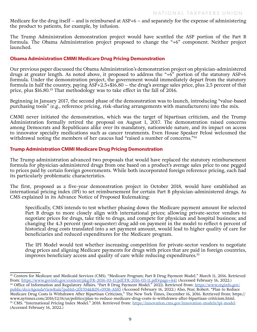Medicare for the drug itself – and is reimbursed at ASP+6 – and separately for the expense of administering the product to patients, for example, by infusion.

The Trump Administration demonstration project would have scuttled the ASP portion of the Part B formula. The Obama Administration project proposed to change the "+6" component. Neither project launched.

#### **Obama Administration CMMI Medicare Drug Pricing Demonstration**

Our previous paper discussed the Obama Administration's demonstration project on physician-administered drugs at greater length. As noted above, it proposed to address the "+6" portion of the statutory ASP+6 formula. Under the demonstration project, the government would immediately depart from the statutory formula in half the country, paying ASP+2.5+\$16.80 – the drug's average sales price, plus 2.5 percent of that price, plus \$16.80.33 That methodology was to take effect in the fall of 2016.

Beginning in January 2017, the second phase of the demonstration was to launch, introducing "value-based purchasing tools" (e.g., reference pricing, risk-sharing arrangements with manufacturers) into the mix.

CMMI never initiated the demonstration, which was the target of bipartisan criticism, and the Trump Administration formally retired the proposal on August 1, 2017. The demonstration raised concerns among Democrats and Republicans alike over its mandatory, nationwide nature, and its impact on access to innovator specialty medications such as cancer treatments. Even House Speaker Pelosi welcomed the withdrawal noting the members of her caucus had "raised a number of concerns."<sup>34</sup>

#### **Trump Administration CMMI Medicare Drug Pricing Demonstration**

The Trump administration advanced two proposals that would have replaced the statutory reimbursement formula for physician-administered drugs from one based on a product's average sales price to one pegged to prices paid by certain foreign governments. While both incorporated foreign reference pricing, each had its particularly problematic characteristics.

The first, proposed as a five-year demonstration project in October 2018, would have established an international pricing index (IPI) to set reimbursement for certain Part B physician-administered drugs. As CMS explained in its Advance Notice of Proposed Rulemaking:

Specifically, CMS intends to test whether phasing down the Medicare payment amount for selected Part B drugs to more closely align with international prices; allowing private-sector vendors to negotiate prices for drugs, take title to drugs, and compete for physician and hospital business; and changing the 4.3 percent (post-sequester) drug add-on payment in the model to reflect 6 percent of historical drug costs translated into a set payment amount, would lead to higher quality of care for beneficiaries and reduced expenditures for the Medicare program.

The IPI Model would test whether increasing competition for private-sector vendors to negotiate drug prices and aligning Medicare payments for drugs with prices that are paid in foreign countries, improves beneficiary access and quality of care while reducing expenditures.35

<sup>33</sup> Centers for Medicare and Medicaid Services (CMS). "Medicare Program; Part B Drug Payment Model." March 11, 2016. Retrieved from: [https://www.govinfo.gov/content/pkg/FR-2016-03-11/pdf/FR-2016-03-11.pdf#page=441](https://www.govinfo.gov/content/pkg/FR-2016-03-11/pdf/FR-2016-03-11.pdf) (Accessed February 16, 2022.) <sup>34</sup> Office of Information and Regulatory Affairs. "Part B Drug Payment Model." 2022. Retrieved from: [https://www.reginfo.gov/](https://www.reginfo.gov/public/do/eAgendaViewRule?pubId=201704&RIN=0938-AS85) [public/do/eAgendaViewRule?pubId=201704&RIN=0938-AS85](https://www.reginfo.gov/public/do/eAgendaViewRule?pubId=201704&RIN=0938-AS85) (Accessed February 16, 2022.) Also, Pear, Robert. "Plan to Reduce Medicare Drug Costs Is Withdrawn After Bipartisan Criticism," The New York Times, December 16, 2016. Retrieved from: https:// www.nytimes.com/2016/12/16/us/politics/plan-to-reduce-medicare-drug-costs-is-withdrawn-after-bipartisan-criticism.html. 35 CMS. "International Pricing Index Model." 2018. Retrieved from: <https://innovation.cms.gov/innovation-models/ipi-model> (Accessed February 16, 2022.)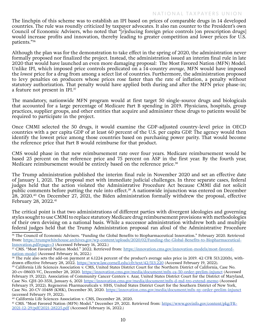#### NATIONAL TAXPAYERS UNION

The linchpin of this scheme was to establish an IPI based on prices of comparable drugs in 14 developed countries. The rule was roundly criticized by taxpayer advocates. It also ran counter to the President's own Council of Economic Advisers, who noted that "[r]educing foreign price controls [on prescription drugs] would increase profits and innovation, thereby leading to greater competition and lower prices for U.S. patients."36

Although the plan was for the demonstration to take effect in the spring of 2020, the administration never formally proposed nor finalized the project. Instead, the administration issued an interim final rule in late 2020 that would have launched an even more damaging proposal: The Most Favored Nation (MFN) Model. Unlike IPI, which imposed price controls predicated on a 14-country *average*, MFN would have imposed the *lowest* price for a drug from among a select list of countries. Furthermore, the administration proposed to levy penalties on producers whose prices rose faster than the rate of inflation, a penalty without statutory authorization. That penalty would have applied both during and after the MFN price phase-in; a feature not present in IPI.<sup>37</sup>

The mandatory, nationwide MFN program would at first target 50 single-source drugs and biologicals that accounted for a large percentage of Medicare Part B spending in 2019. Physicians, hospitals, group practices, supplier groups, and other entities that acquire and administer these drugs to patients would be required to participate in the project.

Once CMMI selected the 50 drugs, it would examine the GDP-adjusted country-level price in OECD countries with a per capita GDP of at least 60 percent of the U.S. per capita GDP. The agency would then identify the lowest price among those countries based on purchasing power parity. That would become the reference price that Part B would reimburse for that product.

CMS would phase in that new reimbursement rate over four years. Medicare reimbursement would be based 25 percent on the reference price and 75 percent on ASP in the first year. By the fourth year, Medicare reimbursement would be entirely based on the reference price.<sup>38</sup>

The Trump administration published the interim final rule in November 2020 and set an effective date of January 1, 2021. The proposal met with immediate judicial challenges. In three separate cases, federal judges held that the action violated the Administrative Procedure Act because CMMI did not solicit public comments before putting the rule into effect.<sup>39</sup> A nationwide injunction was entered on December 28, 2020.<sup>40</sup> On December 27, 2021, the Biden administration formally withdrew the proposal, effective February 28, 2022.<sup>41</sup>

The critical point is that two administrations of different parties with divergent ideologies and governing styles sought to use CMMI to replace statutory Medicare drug reimbursement provisions with methodologies of their own devising on a national basis. While a successor administration withdrew both and multiple federal judges held that the Trump Administration proposal ran afoul of the Administrative Procedure

<sup>40</sup> California Life Sciences Association v. CMS, December 28, 2020.

<sup>36</sup> The Council of Economic Advisers. "Funding the Global Benefits to Biopharmaceutical Innovation." February 2020. Retrieved from: [https://trumpwhitehouse.archives.gov/wp-content/uploads/2020/02/Funding-the-Global-Benefits-to-Biopharmaceutical-](https://trumpwhitehouse.archives.gov/wp-content/uploads/2020/02/Funding-the-Global-Benefits-to-Biopharmaceutical-Innovation.pdf#page=3)[Innovation.pdf#page=3](https://trumpwhitehouse.archives.gov/wp-content/uploads/2020/02/Funding-the-Global-Benefits-to-Biopharmaceutical-Innovation.pdf#page=3) (Accessed February 16, 2022.)

<sup>37</sup> CMS. "Most Favored Nation Model." 2022. Retrieved from: [https://innovation.cms.gov/innovation-models/most-favored](https://innovation.cms.gov/innovation-models/most-favored-nation-model)[nation-model](https://innovation.cms.gov/innovation-models/most-favored-nation-model) (Accessed February 16, 2022.)

<sup>38</sup> The rule also sets the add-on payment at 6.1224 percent of the product's average sales price in 2019. 42 CFR 513.220(b), withdrawn effective February 28, 2022.<https://www.law.cornell.edu/cfr/text/42/513.220>(Accessed February 19, 2022).

<sup>&</sup>lt;sup>39</sup> California Life Sciences Association v. CMS, United States District Court for the Northern District of California, Case No. 20-cv-08603-VC, December 28, 2020.<https://innovation.cms.gov/media/document/mfn-ca-50-order-prelim-injunct> (Accessed February 19, 2022). Association of Community Cancer Centers v. Azar, United States District Court for the District of Maryland, Case No. GJH-20-3531, January 6, 2021 <https://innovation.cms.gov/media/document/mfn-d-md-tro-extend-memo> (Accessed February 19, 2022). Regeneron Pharmaceuticals v. HHS, United States District Court for the Southern District of New York, Case No. 20-CV-10488 (KMK), December 30, 2020.<https://innovation.cms.gov/media/document/mfn-ny-order-prelim-injunct> (accessed February 19, 2022).

<sup>&</sup>lt;sup>41</sup> CMS. "Most Favored Nation (MFN) Model." December 29, 2021. Retrieved from: [https://www.govinfo.gov/content/pkg/FR-](https://www.govinfo.gov/content/pkg/FR-2021-12-29/pdf/2021-28225.pdf)[2021-12-29/pdf/2021-28225.pdf](https://www.govinfo.gov/content/pkg/FR-2021-12-29/pdf/2021-28225.pdf) (Accessed February 16, 2022.)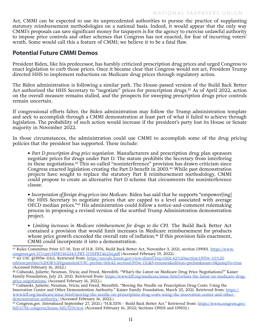Act, CMMI can be expected to use its unprecedented authorities to pursue the practice of supplanting statutory reimbursement methodologies on a national basis. Indeed, it would appear that the only way CMMI's proposals can save significant money for taxpayers is for the agency to exercise unlawful authority to impose price controls and other schemes that Congress has not enacted, for fear of incurring voters' wrath. Some would call this a feature of CMMI; we believe it to be a fatal flaw.

#### **Potential Future CMMI Demos**

President Biden, like his predecessor, has harshly criticized prescription drug prices and urged Congress to enact legislation to curb those prices. Once it became clear that Congress would not act, President Trump directed HHS to implement reductions on Medicare drug prices through regulatory action.

The Biden administration is following a similar path. The House-passed version of the Build Back Better Act authorized the HHS Secretary to "negotiate" prices for prescription drugs.<sup>42</sup> As of April 2022, action on the overall measure remains stalled, and the prospects for sweeping prescription drugs price controls remain uncertain.

If congressional efforts falter, the Biden administration may follow the Trump administration template and seek to accomplish through a CMMI demonstration at least part of what it failed to achieve through legislation. The probability of such action would increase if the president's party lost its House or Senate majority in November 2022.

In those circumstances, the administration could use CMMI to accomplish some of the drug pricing policies that the president has supported. These include:

**•** *Part D prescription drug price negotiation.* Manufacturers and prescription drug plan sponsors negotiate prices for drugs under Part D. The statute prohibits the Secretary from interfering in these negotiations.43 This so-called "noninterference" provision has drawn criticism since Congress enacted legislation creating the Part D benefit in 2003.<sup>44</sup> While past demonstration projects have sought to replace the statutory Part B reimbursement methodology, CMMI could propose to create an alternative Part D scheme that circumvents the noninterference clause.

**•** *Incorporation of foreign drug prices into Medicare.* Biden has said that he supports "empower[ing] the HHS Secretary to negotiate prices that are capped to a level associated with average OECD median prices."<sup>45</sup> His administration could follow a notice-and-comment rulemaking process in proposing a revised version of the scuttled Trump Administration demonstration project.

**•** *Limiting increases in Medicare reimbursement for drugs to the CPI.* The Build Back Better Act contained a provision that would limit increases in Medicare reimbursement for products whose price growth exceeded the overall rate of inflation.<sup>46</sup> If this provision fails enactment, CMMI could incorporate it into a demonstration.

edition:prelim)%20OR%20(granuleid:USC-prelim-title42-section1395w-111)&f=treesort&edition=prelim&num=0&jumpTo=true (Accessed February 16, 2022.)

<sup>&</sup>lt;sup>42</sup> Rules Committee Print 117-18, Text of H.R. 5376, Build Back Better Act, November 3, 2021, section 139001. [https://www.](https://www.congress.gov/117/cprt/HPRT46234/CPRT-117HPRT46234.pdf) [congress.gov/117/cprt/HPRT46234/CPRT-117HPRT46234.pdf](https://www.congress.gov/117/cprt/HPRT46234/CPRT-117HPRT46234.pdf) (Accessed February 19, 2022).<br><sup>43</sup> 42 USC §1395w-111(i). Retrieved from: https://uscode.house.gov/view.xhtml?req=(title:42%20section:1395w-111%20

<sup>44</sup> Cubanski, Juliette; Neuman, Tricia; and Freed, Meredith. "What's the Latest on Medicare Drug Price Negotiations?" Kaiser Family Foundation, July 23, 2021. Retrieved from: [https://www.kff.org/medicare/issue-brief/whats-the-latest-on-medicare-drug](https://www.kff.org/medicare/issue-brief/whats-the-latest-on-medicare-drug-price-negotiations/)[price-negotiations/](https://www.kff.org/medicare/issue-brief/whats-the-latest-on-medicare-drug-price-negotiations/) (Accessed February 16, 2022.)

 $45$  Cubanski, Juliette; Neuman, Tricia; and Freed, Meredith. "Moving the Needle on Prescription Drug Costs: Using the Innovation Center and Other Demonstration Authority." Kaiser Family Foundation, March 25, 2021. Retrieved from: [https://](https://www.kff.org/medicare/issue-brief/moving-the-needle-on-prescription-drug-costs-using-the-innovation-center-and-other-demonstration-authority/) [www.kff.org/medicare/issue-brief/moving-the-needle-on-prescription-drug-costs-using-the-innovation-center-and-other](https://www.kff.org/medicare/issue-brief/moving-the-needle-on-prescription-drug-costs-using-the-innovation-center-and-other-demonstration-authority/)[demonstration-authority/](https://www.kff.org/medicare/issue-brief/moving-the-needle-on-prescription-drug-costs-using-the-innovation-center-and-other-demonstration-authority/) (Accessed February 16, 2022.)

<sup>&</sup>lt;sup>46</sup> Congress.gov. (Introduced September 27, 2021.) "H.R.5376 - Build Back Better Act." Retrieved from: [https://www.congress.gov/](https://www.congress.gov/bill/117th-congress/house-bill/5376/text) [bill/117th-congress/house-bill/5376/text](https://www.congress.gov/bill/117th-congress/house-bill/5376/text) (Accessed February 16, 2022; Sections 139101 and 139102.)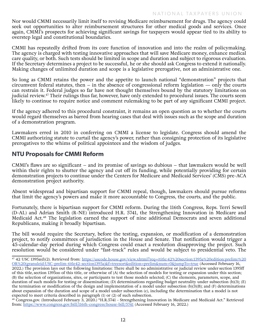Nor would CMMI necessarily limit itself to revising Medicare reimbursement for drugs. The agency could seek out opportunities to alter reimbursement structures for other medical goods and services. Once again, CMMI's prospects for achieving significant savings for taxpayers would appear tied to its ability to overstep legal and constitutional boundaries.

CMMI has repeatedly drifted from its core function of innovation and into the realm of policymaking. The agency is charged with testing innovative approaches that will save Medicare money, enhance medical care quality, or both. Such tests should be limited in scope and duration and subject to rigorous evaluation. If the Secretary determines a project to be successful, he or she should ask Congress to extend it nationally. Making changes of unlimited duration and scope is a legislative prerogative, not an administrative one.

So long as CMMI retains the power and the appetite to launch national "demonstration" projects that circumvent federal statutes, then  $-$  in the absence of congressional reform legislation  $-$  only the courts can restrain it. Federal judges so far have not thought themselves bound by the statutory limitations on judicial review.47 Their rulings thus far, however, have only extended to procedural issues. The courts seem likely to continue to require notice and comment rulemaking to be part of any significant CMMI project.

If the agency adhered to this procedural constraint, it remains an open question as to whether the courts would regard themselves as barred from hearing cases that deal with issues such as the scope and duration of a demonstration program.

Lawmakers erred in 2010 in conferring on CMMI a license to legislate. Congress should amend the CMMI authorizing statute to curtail the agency's power, rather than consigning protection of its legislative prerogatives to the whims of political appointees and the wisdom of judges.

#### **NTU Proposals for CMMI Reform**

CMMI's flaws are so significant – and its promise of savings so dubious – that lawmakers would be well within their rights to shutter the agency and cut off its funding, while potentially providing for certain demonstration projects to continue under the Centers for Medicare and Medicaid Services' (CMS) pre-ACA demonstration project authority.

Absent widespread and bipartisan support for CMMI repeal, though, lawmakers should pursue reforms that limit the agency's powers and make it more accountable to Congress, the courts, and the public.

Fortunately, there is bipartisan support for CMMI reform. During the 116th Congress, Reps. Terri Sewell (D-AL) and Adrian Smith (R-NE) introduced H.R. 5741, the Strengthening Innovation in Medicare and Medicaid Act.48 The legislation earned the support of nine additional Democrats and seven additional Republicans, making it broadly bipartisan.

The bill would require the Secretary, before the testing, expansion, or modification of a demonstration project, to notify committees of jurisdiction in the House and Senate. That notification would trigger a 45-calendar-day period during which Congress could enact a resolution disapproving the project. Such resolution would be considered under "fast-track" rules and would be subject to presidential veto. The

<sup>47</sup> 42 USC 1395a(d)(2). Retrieved from: https://uscode.house.gov/view.xhtml?req=(title:42%20section:1395a%20edition:prelim)%20 OR%20(granuleid:USC-prelim-title42-section1395a)&f=treesort&edition=prelim&num=0&jumpTo=true (Accessed February 16, 2022.) The provision lays out the following limitations: There shall be no administrative or judicial review under section 1395ff of this title, section 1395oo of this title, or otherwise of (A) the selection of models for testing or expansion under this section; (B) the selection of organizations, sites, or participants to test those models selected; (C) the elements, parameters, scope, and duration of such models for testing or dissemination; (D) determinations regarding budget neutrality under subsection (b)(3); (E) the termination or modification of the design and implementation of a model under subsection  $(b)(3)(B)$ ; and  $(F)$  determinations about expansion of the duration and scope of a model under subsection (c), including the determination that a model is not expected to meet criteria described in paragraph (1) or (2) of such subsection.

<sup>&</sup>lt;sup>48</sup> Congress.gov. (Introduced February 3, 2020.) "H.R.5741 - Strengthening Innovation in Medicare and Medicaid Act." Retrieved from:<https://www.congress.gov/bill/116th-congress/house-bill/5741> (Accessed February 16, 2022.)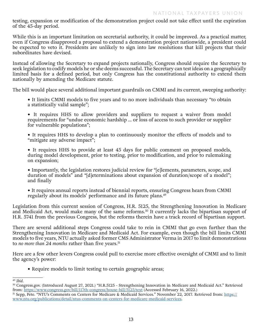testing, expansion or modification of the demonstration project could not take effect until the expiration of the 45-day period.

While this is an important limitation on secretarial authority, it could be improved. As a practical matter, even if Congress disapproved a proposal to extend a demonstration project nationwide, a president could be expected to veto it. Presidents are unlikely to sign into law resolutions that kill projects that their subordinates have devised.

Instead of allowing the Secretary to expand projects nationally, Congress should require the Secretary to seek legislation to codify models he or she deems successful. The Secretary can test ideas on a geographically limited basis for a defined period, but only Congress has the constitutional authority to extend them nationally by amending the Medicare statute.

The bill would place several additional important guardrails on CMMI and its current, sweeping authority:

**•** It limits CMMI models to five years and to no more individuals than necessary "to obtain a statistically valid sample";

**•** It requires HHS to allow providers and suppliers to request a waiver from model requirements for "undue economic hardship … or loss of access to such provider or supplier for vulnerable populations";

**•** It requires HHS to develop a plan to continuously monitor the effects of models and to "mitigate any adverse impact";

**•** It requires HHS to provide at least 45 days for public comment on proposed models, during model development, prior to testing, prior to modification, and prior to rulemaking on expansion;

**•** Importantly, the legislation restores judicial review for "[e]lements, parameters, scope, and duration of models" and "[d]eterminations about expansion of duration/scope of a model"; and finally

**•** It requires annual reports instead of biennial reports, ensuring Congress hears from CMMI regularly about its models' performance and its future plans.49

Legislation from this current session of Congress, H.R. 5125, the Strengthening Innovation in Medicare and Medicaid Act, would make many of the same reforms.<sup>50</sup> It currently lacks the bipartisan support of H.R. 5741 from the previous Congress, but the reforms therein have a track record of bipartisan support.

There are several additional steps Congress could take to rein in CMMI that go even further than the Strengthening Innovation in Medicare and Medicaid Act. For example, even though the bill limits CMMI models to five years, NTU actually asked former CMS Administrator Verma in 2017 to limit demonstrations to *no more than 24 months* rather than five years.<sup>51</sup>

Here are a few other levers Congress could pull to exercise more effective oversight of CMMI and to limit the agency's power:

**•** Require models to limit testing to certain geographic areas;

<sup>49</sup> *Ibid*.

<sup>50</sup> Congress.gov. (Introduced August 27, 2021.) "H.R.5125 - Strengthening Innovation in Medicare and Medicaid Act." Retrieved from: <https://www.congress.gov/bill/117th-congress/house-bill/5125/text>(Accessed February 16, 2022.)

<sup>51</sup> Sepp, Pete. "NTU's Comments on Centers for Medicare & Medicaid Services." November 22, 2017. Retrieved from: [https://](https://www.ntu.org/publications/detail/ntus-comments-on-centers-for-medicare-medicaid-services) [www.ntu.org/publications/detail/ntus-comments-on-centers-for-medicare-medicaid-services](https://www.ntu.org/publications/detail/ntus-comments-on-centers-for-medicare-medicaid-services).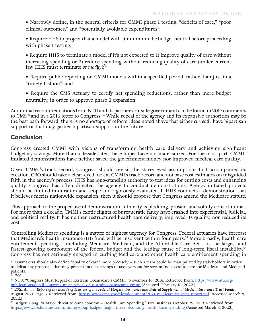- Narrowly define, in the general criteria for CMMI phase 1 testing, "deficits of care," "poor clinical outcomes," and "potentially avoidable expenditures";
- Require HHS to project that a model will, at minimum, be budget neutral before proceeding with phase 1 testing;
- Require HHS to terminate a model if it's not expected to 1) improve quality of care without increasing spending or 2) reduce spending without reducing quality of care (under current law HHS must terminate *or modify)*; 52
- Require public reporting on CMMI models within a specified period, rather than just in a "timely fashion"; and
- Require the CMS Actuary to certify net spending reductions, rather than mere budget neutrality, in order to approve phase 2 expansion.

Additional recommendations from NTU and its partners outside government can be found in 2017 comments to CMS<sup>53</sup> and in a 2016 letter to Congress.<sup>54</sup> While repeal of the agency and its expansive authorities may be the best path forward, there is no shortage of reform ideas noted above that either *currently* have bipartisan support or that may garner bipartisan support in the future.

#### **Conclusion**

Congress created CMMI with visions of transforming health care delivery and achieving significant budgetary savings. More than a decade later, these hopes have not materialized. For the most part, CMMIinitiated demonstrations have neither saved the government money nor improved medical care quality.

Given CMMI's track record, Congress should revisit the starry-eyed assumptions that accompanied its creation. CBO should take a clear-eyed look at CMMI's track record and not base cost estimates on misguided faith in the agency's process. HHS has long-standing authority to test ideas for cutting costs and enhancing quality. Congress has often directed the agency to conduct demonstrations. Agency-initiated projects should be limited in duration and scope and rigorously evaluated. If HHS conducts a demonstration that it believes merits nationwide expansion, then it should propose that Congress amend the Medicare statute.

This approach to the proper use of demonstration authority is plodding, prosaic, and solidly constitutional. For more than a decade, CMMI's exotic flights of bureaucratic fancy have crashed into experiential, judicial, and political reality. It has neither restructured health care delivery, improved its quality, nor reduced its cost.

Controlling Medicare spending is a matter of highest urgency for Congress. Federal actuaries have forecast that Medicare's health insurance (HI) fund will be insolvent within four years.<sup>55</sup> More broadly, health care entitlement spending – including Medicare, Medicaid, and the Affordable Care Act – is the largest and fastest-growing component of the federal budget and the leading cause of long-term fiscal instability.<sup>56</sup> Congress has not seriously engaged in curbing Medicare and other health care entitlement spending in

 $52$  Lawmakers should also define "quality of care" more precisely – such a term could be manipulated by stakeholders in order to defeat any proposals that may present modest savings to taxpayers and/or streamline access to care for Medicare and Medicaid patients.

<sup>53</sup> *Ibid*.

<sup>&</sup>lt;sup>54</sup> NTU. "Congress Must Repeal or Restrain Obamacare's CMMI." November 16, 2016. Retrieved from: [https://www.ntu.org/](https://www.ntu.org/publications/detail/congress-must-repeal-or-restrain-obamacares-cmmi) [publications/detail/congress-must-repeal-or-restrain-obamacares-cmmi](https://www.ntu.org/publications/detail/congress-must-repeal-or-restrain-obamacares-cmmi) (Accessed February 16, 2022.)

<sup>&</sup>lt;sup>55</sup> 2021 Annual Report of the Boards of Trustees of the Federal Hospital Insurance and Federal Supplemental Medical Insurance Trust Funds. August 2021. Page 6. Retrieved from: <https://www.cms.gov/files/document/2021-medicare-trustees-report.pdf>(Accessed March 8, 2022.)

<sup>56</sup> Badger, Doug. "A Major threat to our Economy – Health Care Spending." Fox Business. October 29, 2019. Retrieved from: <https://www.foxbusiness.com/money/doug-badger-major-threat-economy-health-care-spending>(Accessed March 8, 2022.)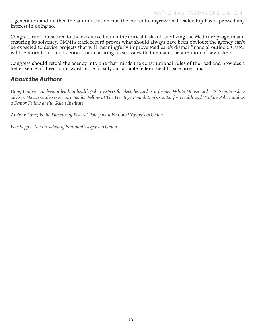a generation and neither the administration nor the current congressional leadership has expressed any interest in doing so.

Congress can't outsource to the executive branch the critical tasks of stabilizing the Medicare program and ensuring its solvency. CMMI's track record proves what should always have been obvious: the agency can't be expected to devise projects that will meaningfully improve Medicare's dismal financial outlook. CMMI is little more than a distraction from daunting fiscal issues that demand the attention of lawmakers.

Congress should retool the agency into one that minds the constitutional rules of the road and provides a better sense of direction toward more fiscally sustainable federal health care programs.

### *About the Authors*

*Doug Badger has been a leading health policy expert for decades and is a former White House and U.S. Senate policy adviser. He currently serves as a Senior Fellow at The Heritage Foundation's Center for Health and Welfare Policy and as a Senior Fellow at the Galen Institute.*

*Andrew Lautz is the Director of Federal Policy with National Taxpayers Union.* 

*Pete Sepp is the President of National Taxpayers Union.*